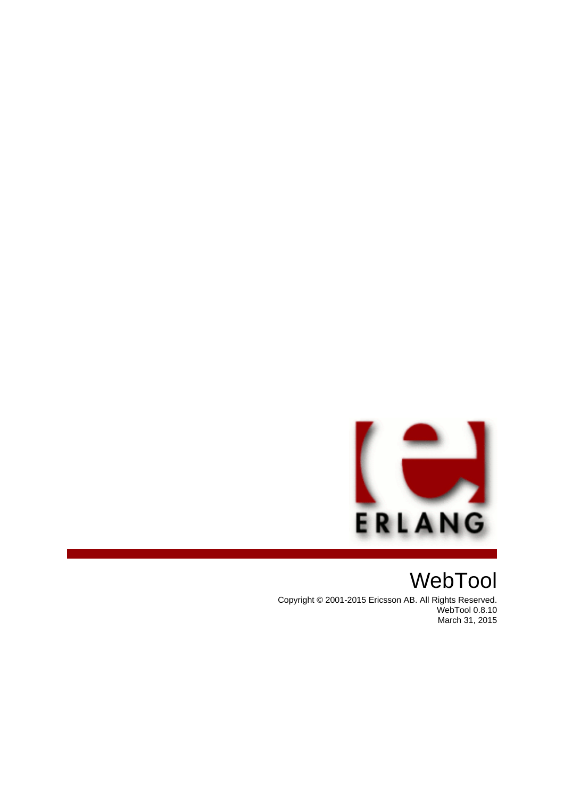

# **WebTool**

Copyright © 2001-2015 Ericsson AB. All Rights Reserved. WebTool 0.8.10 March 31, 2015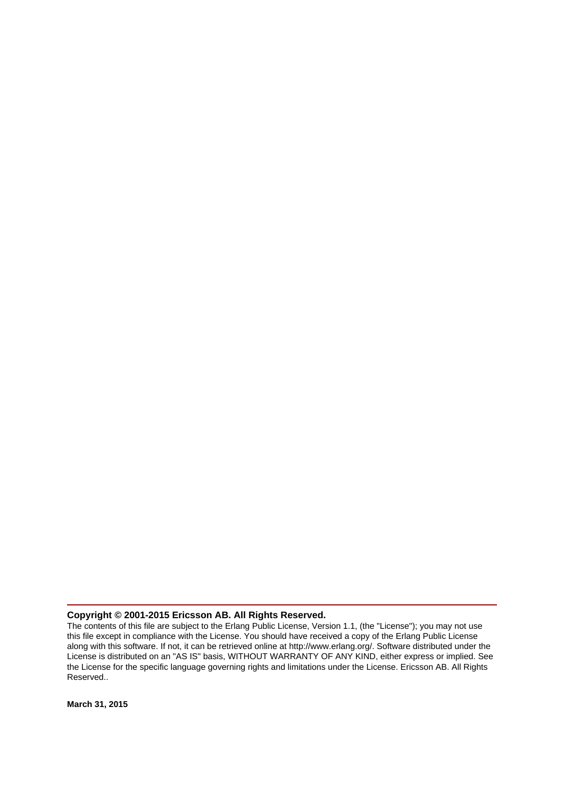#### **Copyright © 2001-2015 Ericsson AB. All Rights Reserved.**

The contents of this file are subject to the Erlang Public License, Version 1.1, (the "License"); you may not use this file except in compliance with the License. You should have received a copy of the Erlang Public License along with this software. If not, it can be retrieved online at http://www.erlang.org/. Software distributed under the License is distributed on an "AS IS" basis, WITHOUT WARRANTY OF ANY KIND, either express or implied. See the License for the specific language governing rights and limitations under the License. Ericsson AB. All Rights Reserved..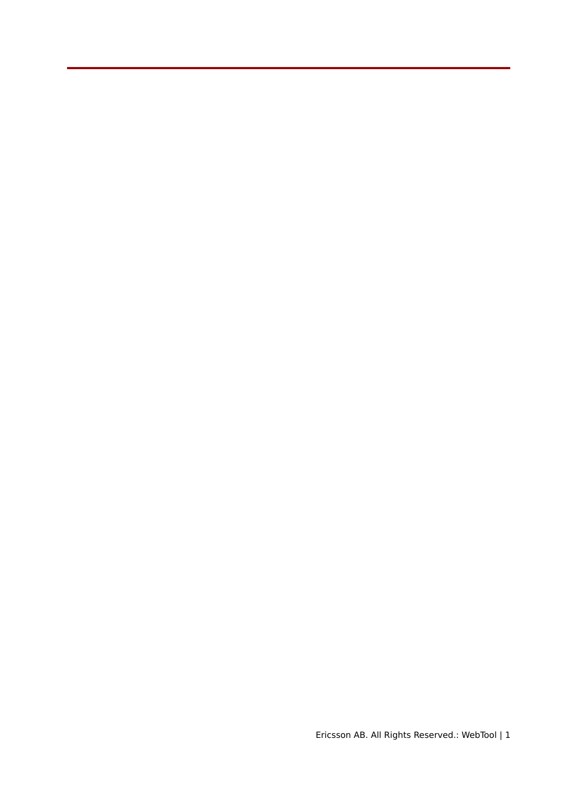Ericsson AB. All Rights Reserved.: WebTool | 1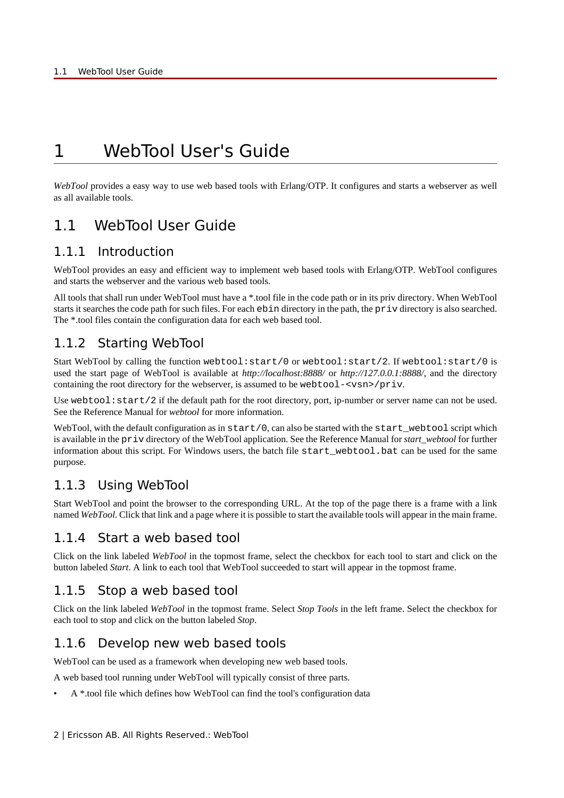# 1 WebTool User's Guide

*WebTool* provides a easy way to use web based tools with Erlang/OTP. It configures and starts a webserver as well as all available tools.

## 1.1 WebTool User Guide

### 1.1.1 Introduction

WebTool provides an easy and efficient way to implement web based tools with Erlang/OTP. WebTool configures and starts the webserver and the various web based tools.

All tools that shall run under WebTool must have a \*.tool file in the code path or in its priv directory. When WebTool starts it searches the code path for such files. For each ebin directory in the path, the priv directory is also searched. The \*.tool files contain the configuration data for each web based tool.

### 1.1.2 Starting WebTool

Start WebTool by calling the function webtool:start/0 or webtool:start/2. If webtool:start/0 is used the start page of WebTool is available at *http://localhost:8888/* or *http://127.0.0.1:8888/*, and the directory containing the root directory for the webserver, is assumed to be webtool-<vsn>/priv.

Use webtool: start/2 if the default path for the root directory, port, ip-number or server name can not be used. See the Reference Manual for *webtool* for more information.

WebTool, with the default configuration as in start/0, can also be started with the start\_webtool script which is available in the priv directory of the WebTool application. See the Reference Manual for *start\_webtool* for further information about this script. For Windows users, the batch file start\_webtool.bat can be used for the same purpose.

### 1.1.3 Using WebTool

Start WebTool and point the browser to the corresponding URL. At the top of the page there is a frame with a link named *WebTool*. Click that link and a page where it is possible to start the available tools will appear in the main frame.

### 1.1.4 Start a web based tool

Click on the link labeled *WebTool* in the topmost frame, select the checkbox for each tool to start and click on the button labeled *Start*. A link to each tool that WebTool succeeded to start will appear in the topmost frame.

### 1.1.5 Stop a web based tool

Click on the link labeled *WebTool* in the topmost frame. Select *Stop Tools* in the left frame. Select the checkbox for each tool to stop and click on the button labeled *Stop*.

### 1.1.6 Develop new web based tools

WebTool can be used as a framework when developing new web based tools.

A web based tool running under WebTool will typically consist of three parts.

• A \*.tool file which defines how WebTool can find the tool's configuration data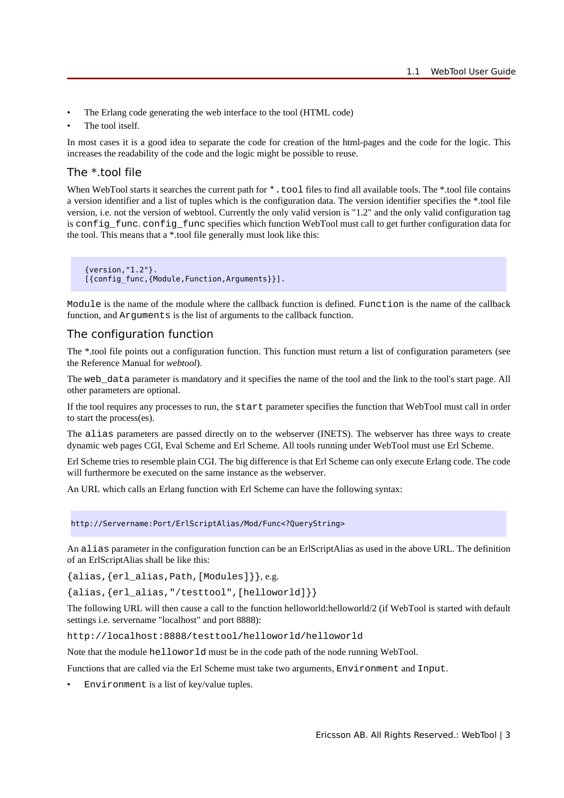- The Erlang code generating the web interface to the tool (HTML code)
- The tool itself.

In most cases it is a good idea to separate the code for creation of the html-pages and the code for the logic. This increases the readability of the code and the logic might be possible to reuse.

#### The \*.tool file

When WebTool starts it searches the current path for  $*$ . tool files to find all available tools. The \*.tool file contains a version identifier and a list of tuples which is the configuration data. The version identifier specifies the \*.tool file version, i.e. not the version of webtool. Currently the only valid version is "1.2" and the only valid configuration tag is configmation configment specifies which function WebTool must call to get further configuration data for the tool. This means that a \*.tool file generally must look like this:

 {version,"1.2"}. [{config\_func,{Module,Function,Arguments}}].

Module is the name of the module where the callback function is defined. Function is the name of the callback function, and Arguments is the list of arguments to the callback function.

#### The configuration function

The \*.tool file points out a configuration function. This function must return a list of configuration parameters (see the Reference Manual for *webtool*).

The web data parameter is mandatory and it specifies the name of the tool and the link to the tool's start page. All other parameters are optional.

If the tool requires any processes to run, the start parameter specifies the function that WebTool must call in order to start the process(es).

The alias parameters are passed directly on to the webserver (INETS). The webserver has three ways to create dynamic web pages CGI, Eval Scheme and Erl Scheme. All tools running under WebTool must use Erl Scheme.

Erl Scheme tries to resemble plain CGI. The big difference is that Erl Scheme can only execute Erlang code. The code will furthermore be executed on the same instance as the webserver.

An URL which calls an Erlang function with Erl Scheme can have the following syntax:

http://Servername:Port/ErlScriptAlias/Mod/Func<?QueryString>

An alias parameter in the configuration function can be an ErlScriptAlias as used in the above URL. The definition of an ErlScriptAlias shall be like this:

{alias,{erl\_alias,Path,[Modules]}}, e.g.

{alias,{erl\_alias,"/testtool",[helloworld]}}

The following URL will then cause a call to the function helloworld:helloworld/2 (if WebTool is started with default settings i.e. servername "localhost" and port 8888):

http://localhost:8888/testtool/helloworld/helloworld

Note that the module helloworld must be in the code path of the node running WebTool.

Functions that are called via the Erl Scheme must take two arguments, Environment and Input.

• Environment is a list of key/value tuples.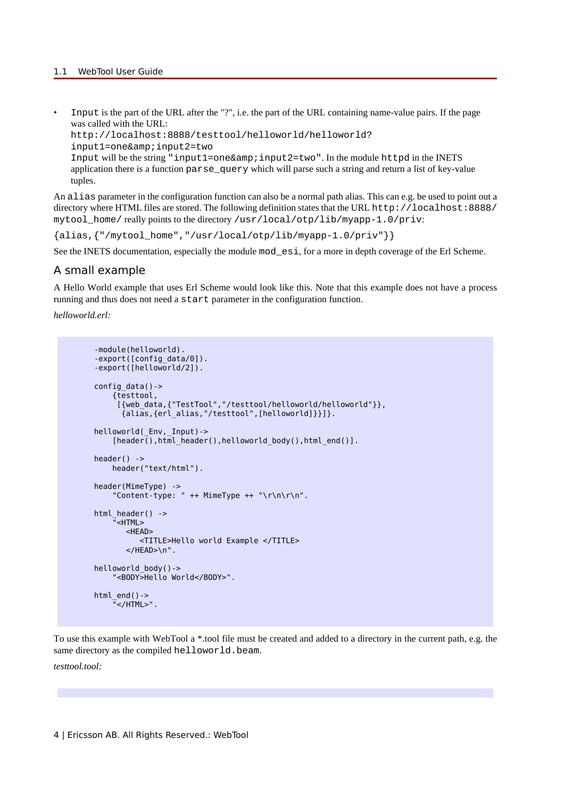Input is the part of the URL after the "?", i.e. the part of the URL containing name-value pairs. If the page was called with the URL:

```
http://localhost:8888/testtool/helloworld/helloworld?
invut1=one\amp; invut2=twoInput will be the string "input1=one&input2=two". In the module httpd in the INETS
application there is a function parse_query which will parse such a string and return a list of key-value
tuples.
```
An alias parameter in the configuration function can also be a normal path alias. This can e.g. be used to point out a directory where HTML files are stored. The following definition states that the URL http://localhost:8888/ mytool\_home/ really points to the directory /usr/local/otp/lib/myapp-1.0/priv:

{alias,{"/mytool\_home","/usr/local/otp/lib/myapp-1.0/priv"}}

See the INETS documentation, especially the module mod\_esi, for a more in depth coverage of the Erl Scheme.

#### A small example

A Hello World example that uses Erl Scheme would look like this. Note that this example does not have a process running and thus does not need a start parameter in the configuration function.

*helloworld.erl:*

```
 -module(helloworld).
        -export([config_data/0]).
         -export([helloworld/2]).
         config_data()->
             {testtool,
              [{web_data,{"TestTool","/testtool/helloworld/helloworld"}},
               {alias,{erl_alias,"/testtool",[helloworld]}}]}.
         helloworld(_Env,_Input)->
            [header(),html_header(),helloworld_body(),html_end()].
        header() ->
             header("text/html").
         header(MimeType) ->
            "Content-type: " ++ MimeType ++ "\r\n\r\n".
 html_header() -> 
 "<HTML>
                <HEAD>
                   <TITLE>Hello world Example </TITLE>
               \langleHEAD>\n".
         helloworld_body()->
             "<BODY>Hello World</BODY>".
        html end()->
            \overline{\mathsf{H}}</HTML>".
```
To use this example with WebTool a \*.tool file must be created and added to a directory in the current path, e.g. the same directory as the compiled helloworld.beam.

*testtool.tool:*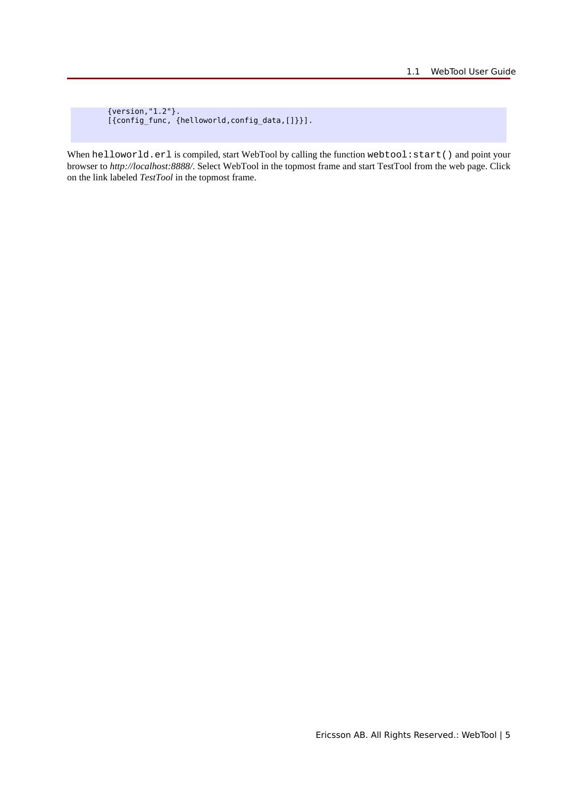$\{version, "1.2"\}.$ [{config\_func, {helloworld,config\_data,[]}}].

When helloworld.erl is compiled, start WebTool by calling the function webtool:start() and point your browser to *http://localhost:8888/*. Select WebTool in the topmost frame and start TestTool from the web page. Click on the link labeled *TestTool* in the topmost frame.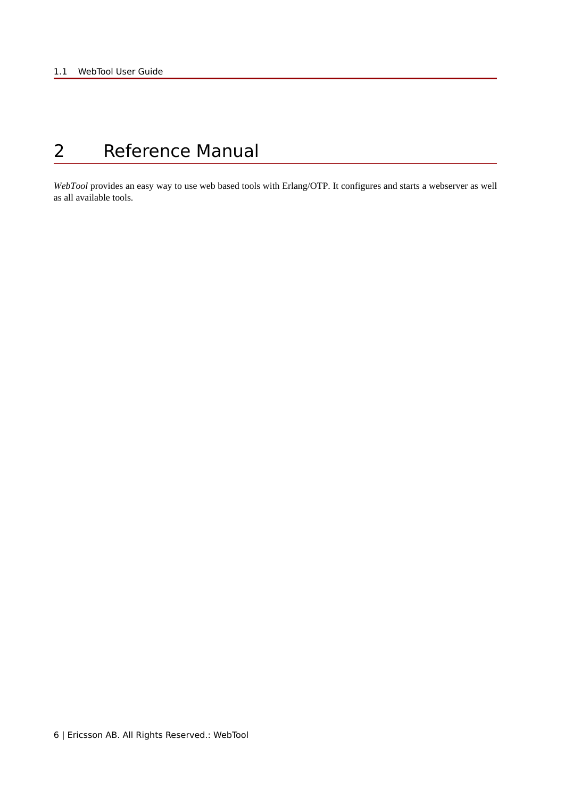# 2 Reference Manual

*WebTool* provides an easy way to use web based tools with Erlang/OTP. It configures and starts a webserver as well as all available tools.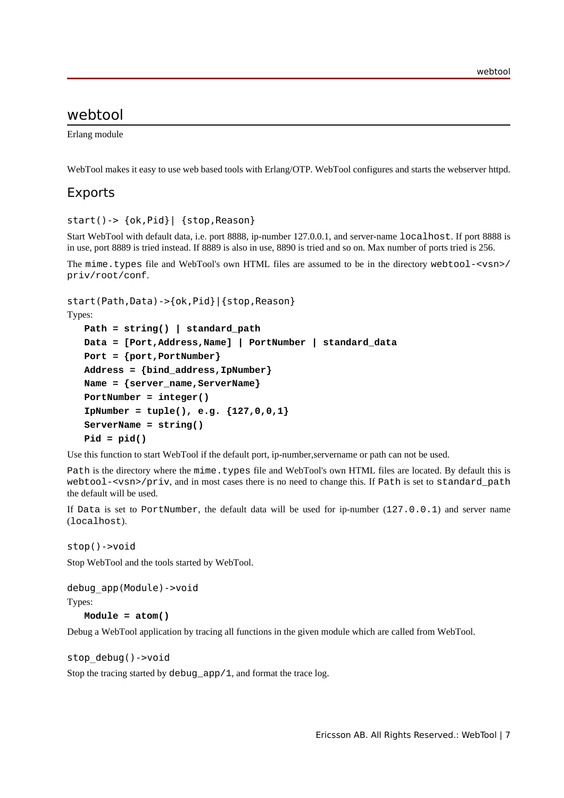### webtool

Erlang module

WebTool makes it easy to use web based tools with Erlang/OTP. WebTool configures and starts the webserver httpd.

### Exports

start()-> {ok,Pid}| {stop,Reason}

Start WebTool with default data, i.e. port 8888, ip-number 127.0.0.1, and server-name localhost. If port 8888 is in use, port 8889 is tried instead. If 8889 is also in use, 8890 is tried and so on. Max number of ports tried is 256.

The mime.types file and WebTool's own HTML files are assumed to be in the directory webtool-<vsn>/ priv/root/conf.

```
start(Path,Data)->{ok,Pid}|{stop,Reason}
```

```
Types:
```

```
Path = string() | standard_path
Data = [Port,Address,Name] | PortNumber | standard_data
Port = {port,PortNumber}
Address = {bind_address,IpNumber}
Name = {server_name, ServerName}
PortNumber = integer()
IpNumber = tuple(), e.g. {127,0,0,1}
ServerName = string()
Pid = pid()
```
Use this function to start WebTool if the default port, ip-number,servername or path can not be used.

Path is the directory where the mime.types file and WebTool's own HTML files are located. By default this is webtool-<vsn>/priv, and in most cases there is no need to change this. If Path is set to standard\_path the default will be used.

If Data is set to PortNumber, the default data will be used for ip-number (127.0.0.1) and server name (localhost).

stop()->void

Stop WebTool and the tools started by WebTool.

```
debug_app(Module)->void
Types:
```

```
Module = atom()
```
Debug a WebTool application by tracing all functions in the given module which are called from WebTool.

```
stop_debug()->void
```
Stop the tracing started by debug\_app/1, and format the trace log.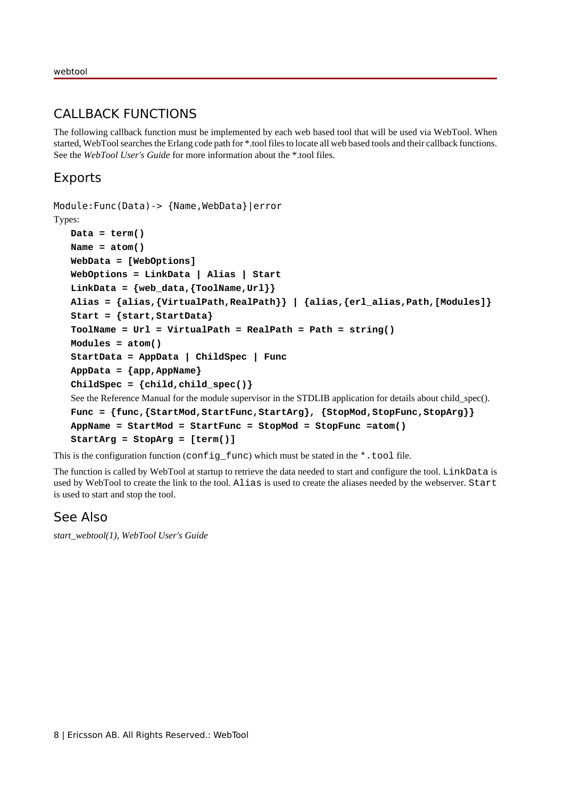### CALLBACK FUNCTIONS

The following callback function must be implemented by each web based tool that will be used via WebTool. When started, WebTool searches the Erlang code path for \*.tool files to locate all web based tools and their callback functions. See the *WebTool User's Guide* for more information about the \*.tool files.

### Exports

```
Module:Func(Data)-> {Name,WebData}|error
Types:
   Data = term()
   Name = atom()
   WebData = [WebOptions]
   WebOptions = LinkData | Alias | Start
   LinkData = \{web\_data, \{ToolName, Ur1\}\}Alias = {alias,{VirtualPath,RealPath}} | {alias,{erl_alias,Path,[Modules]}
   Start = {start,StartData}
   ToolName = Url = VirtualPath = RealPath = Path = string()
   Modules = atom()
   StartData = AppData | ChildSpec | Func
   AppData = {app,AppName}
   ChildSpec = {child,child_spec()}
   See the Reference Manual for the module supervisor in the STDLIB application for details about child_spec().
   Func = {func, {StartMod, StartFunc, StartArg}, {StopMod, StopFunc, StopArg}}
   AppName = StartMod = StartFunc = StopMod = StopFunc =atom()
   StartArg = StopArg = [term()]
```
This is the configuration function (config\_func) which must be stated in the  $*$ .tool file.

The function is called by WebTool at startup to retrieve the data needed to start and configure the tool. LinkData is used by WebTool to create the link to the tool. Alias is used to create the aliases needed by the webserver. Start is used to start and stop the tool.

### See Also

*start\_webtool(1)*, *WebTool User's Guide*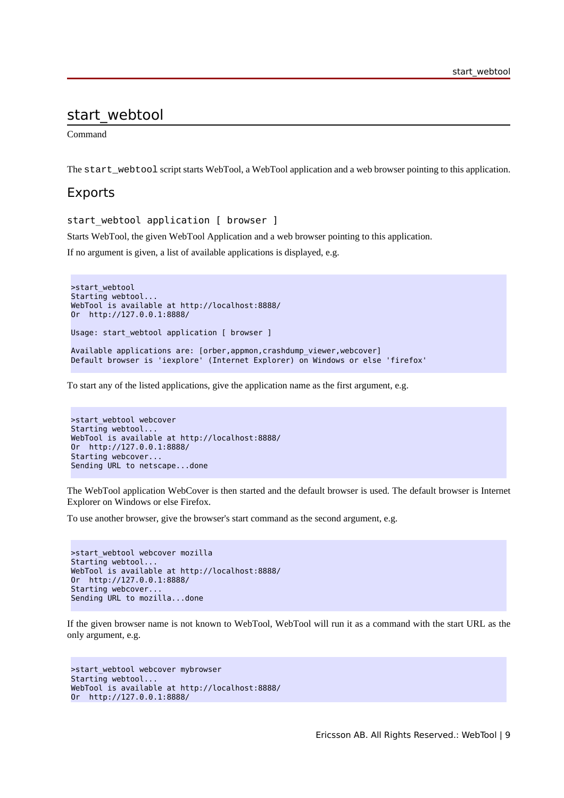### start\_webtool

Command

The start\_webtool script starts WebTool, a WebTool application and a web browser pointing to this application.

#### Exports

start webtool application [ browser ]

Starts WebTool, the given WebTool Application and a web browser pointing to this application.

If no argument is given, a list of available applications is displayed, e.g.

```
>start_webtool
Starting webtool...
WebTool is available at http://localhost:8888/
Or http://127.0.0.1:8888/
Usage: start webtool application [ browser ]
Available applications are: [orber,appmon, crashdump viewer, webcover]
Default browser is 'iexplore' (Internet Explorer) on Windows or else 'firefox'
```
To start any of the listed applications, give the application name as the first argument, e.g.

```
>start_webtool webcover
Starting webtool...
WebTool is available at http://localhost:8888/
Or http://127.0.0.1:8888/
Starting webcover...
Sending URL to netscape...done
```
The WebTool application WebCover is then started and the default browser is used. The default browser is Internet Explorer on Windows or else Firefox.

To use another browser, give the browser's start command as the second argument, e.g.

```
>start_webtool webcover mozilla
Starting webtool...
WebTool is available at http://localhost:8888/
Or http://127.0.0.1:8888/
Starting webcover...
Sending URL to mozilla...done
```
If the given browser name is not known to WebTool, WebTool will run it as a command with the start URL as the only argument, e.g.

```
>start_webtool webcover mybrowser
Starting webtool...
WebTool is available at http://localhost:8888/
Or http://127.0.0.1:8888/
```